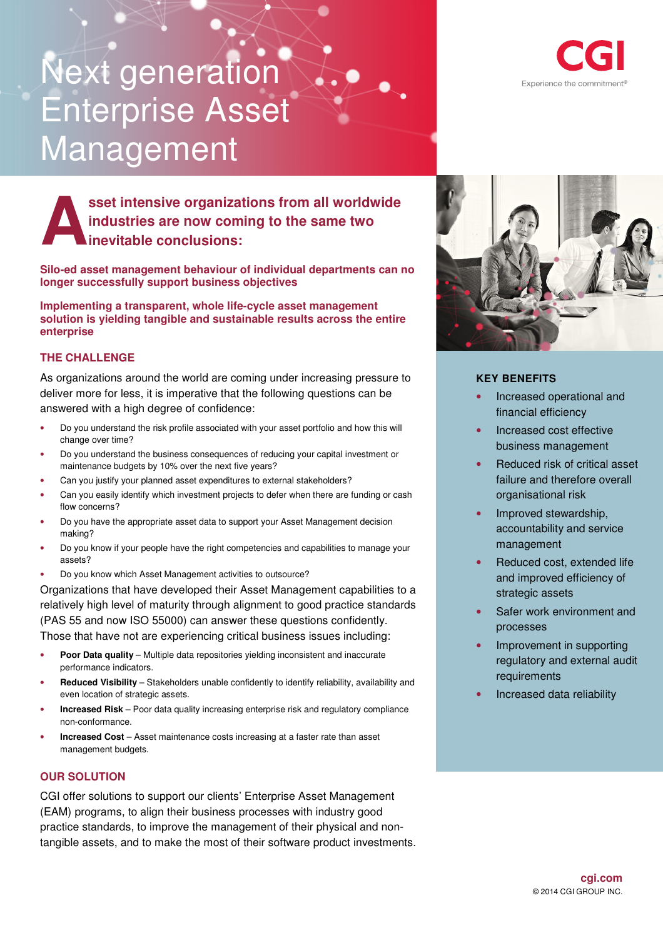# Next generation Enterprise Asset Management



**sset intensive organizations from all worldwide industries are now coming to the same two inevitable conclusions: A**

**Silo-ed asset management behaviour of individual departments can no longer successfully support business objectives** 

**Implementing a transparent, whole life-cycle asset management solution is yielding tangible and sustainable results across the entire enterprise** 

## **THE CHALLENGE**

As organizations around the world are coming under increasing pressure to deliver more for less, it is imperative that the following questions can be answered with a high degree of confidence:

- Do you understand the risk profile associated with your asset portfolio and how this will change over time?
- Do you understand the business consequences of reducing your capital investment or maintenance budgets by 10% over the next five years?
- Can you justify your planned asset expenditures to external stakeholders?
- Can you easily identify which investment projects to defer when there are funding or cash flow concerns?
- Do you have the appropriate asset data to support your Asset Management decision making?
- Do you know if your people have the right competencies and capabilities to manage your assets?
- Do you know which Asset Management activities to outsource?

Organizations that have developed their Asset Management capabilities to a relatively high level of maturity through alignment to good practice standards (PAS 55 and now ISO 55000) can answer these questions confidently. Those that have not are experiencing critical business issues including:

- **Poor Data quality**  Multiple data repositories yielding inconsistent and inaccurate performance indicators.
- **Reduced Visibility** Stakeholders unable confidently to identify reliability, availability and even location of strategic assets.
- **Increased Risk**  Poor data quality increasing enterprise risk and regulatory compliance non-conformance.
- **Increased Cost** Asset maintenance costs increasing at a faster rate than asset management budgets.

## **OUR SOLUTION**

CGI offer solutions to support our clients' Enterprise Asset Management (EAM) programs, to align their business processes with industry good practice standards, to improve the management of their physical and nontangible assets, and to make the most of their software product investments.



# **KEY BENEFITS**

- Increased operational and financial efficiency
- Increased cost effective business management
- Reduced risk of critical asset failure and therefore overall organisational risk
- Improved stewardship, accountability and service management
- Reduced cost, extended life and improved efficiency of strategic assets
- Safer work environment and processes
- Improvement in supporting regulatory and external audit requirements
- Increased data reliability